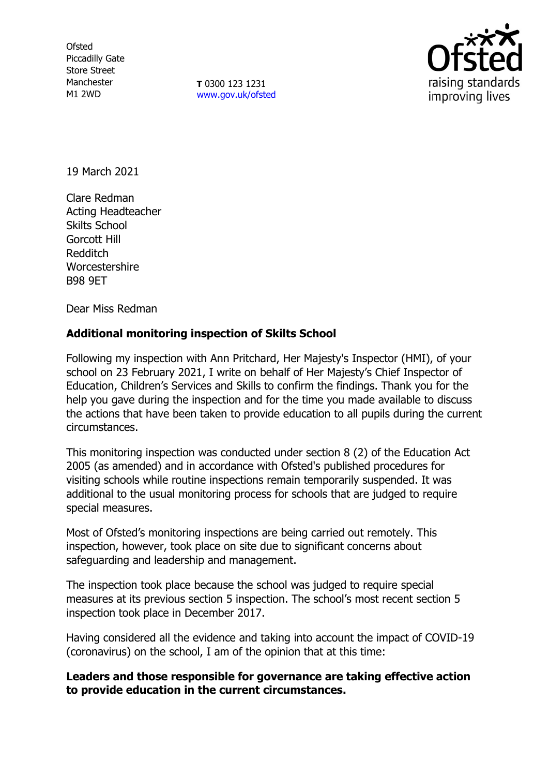**Ofsted** Piccadilly Gate Store Street Manchester M1 2WD

**T** 0300 123 1231 [www.gov.uk/ofsted](http://www.gov.uk/ofsted)



19 March 2021

Clare Redman Acting Headteacher Skilts School Gorcott Hill Redditch **Worcestershire** B98 9ET

Dear Miss Redman

# **Additional monitoring inspection of Skilts School**

Following my inspection with Ann Pritchard, Her Majesty's Inspector (HMI), of your school on 23 February 2021, I write on behalf of Her Majesty's Chief Inspector of Education, Children's Services and Skills to confirm the findings. Thank you for the help you gave during the inspection and for the time you made available to discuss the actions that have been taken to provide education to all pupils during the current circumstances.

This monitoring inspection was conducted under section 8 (2) of the Education Act 2005 (as amended) and in accordance with Ofsted's published procedures for visiting schools while routine inspections remain temporarily suspended. It was additional to the usual monitoring process for schools that are judged to require special measures.

Most of Ofsted's monitoring inspections are being carried out remotely. This inspection, however, took place on site due to significant concerns about safeguarding and leadership and management.

The inspection took place because the school was judged to require special measures at its previous section 5 inspection. The school's most recent section 5 inspection took place in December 2017.

Having considered all the evidence and taking into account the impact of COVID-19 (coronavirus) on the school, I am of the opinion that at this time:

# **Leaders and those responsible for governance are taking effective action to provide education in the current circumstances.**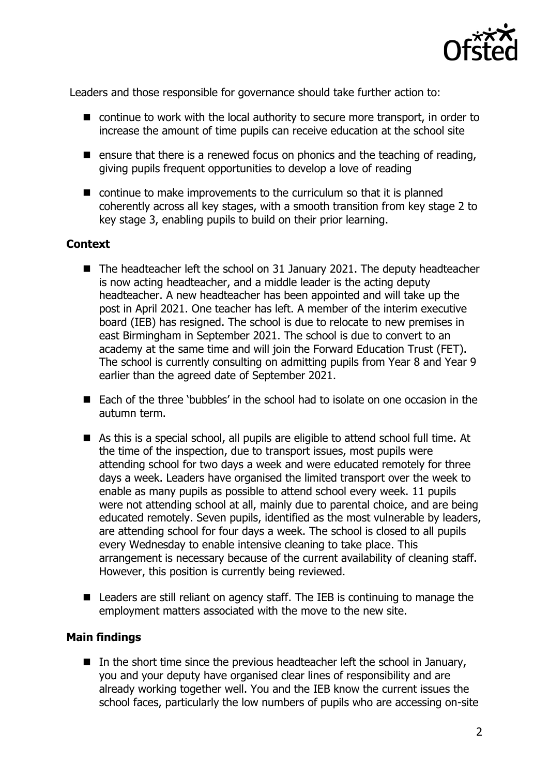

Leaders and those responsible for governance should take further action to:

- continue to work with the local authority to secure more transport, in order to increase the amount of time pupils can receive education at the school site
- **E** ensure that there is a renewed focus on phonics and the teaching of reading, giving pupils frequent opportunities to develop a love of reading
- $\blacksquare$  continue to make improvements to the curriculum so that it is planned coherently across all key stages, with a smooth transition from key stage 2 to key stage 3, enabling pupils to build on their prior learning.

### **Context**

- The headteacher left the school on 31 January 2021. The deputy headteacher is now acting headteacher, and a middle leader is the acting deputy headteacher. A new headteacher has been appointed and will take up the post in April 2021. One teacher has left. A member of the interim executive board (IEB) has resigned. The school is due to relocate to new premises in east Birmingham in September 2021. The school is due to convert to an academy at the same time and will join the Forward Education Trust (FET). The school is currently consulting on admitting pupils from Year 8 and Year 9 earlier than the agreed date of September 2021.
- Each of the three 'bubbles' in the school had to isolate on one occasion in the autumn term.
- As this is a special school, all pupils are eligible to attend school full time. At the time of the inspection, due to transport issues, most pupils were attending school for two days a week and were educated remotely for three days a week. Leaders have organised the limited transport over the week to enable as many pupils as possible to attend school every week. 11 pupils were not attending school at all, mainly due to parental choice, and are being educated remotely. Seven pupils, identified as the most vulnerable by leaders, are attending school for four days a week. The school is closed to all pupils every Wednesday to enable intensive cleaning to take place. This arrangement is necessary because of the current availability of cleaning staff. However, this position is currently being reviewed.
- Leaders are still reliant on agency staff. The IEB is continuing to manage the employment matters associated with the move to the new site.

#### **Main findings**

In the short time since the previous headteacher left the school in January, you and your deputy have organised clear lines of responsibility and are already working together well. You and the IEB know the current issues the school faces, particularly the low numbers of pupils who are accessing on-site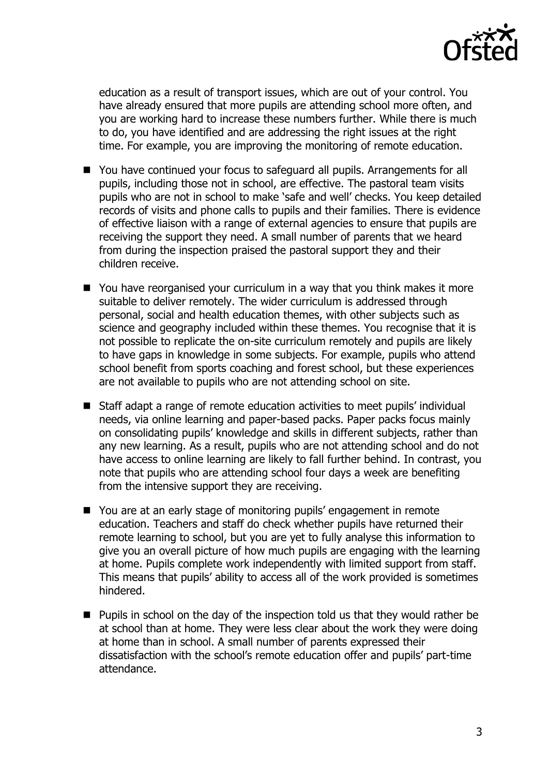

education as a result of transport issues, which are out of your control. You have already ensured that more pupils are attending school more often, and you are working hard to increase these numbers further. While there is much to do, you have identified and are addressing the right issues at the right time. For example, you are improving the monitoring of remote education.

- You have continued your focus to safeguard all pupils. Arrangements for all pupils, including those not in school, are effective. The pastoral team visits pupils who are not in school to make 'safe and well' checks. You keep detailed records of visits and phone calls to pupils and their families. There is evidence of effective liaison with a range of external agencies to ensure that pupils are receiving the support they need. A small number of parents that we heard from during the inspection praised the pastoral support they and their children receive.
- You have reorganised your curriculum in a way that you think makes it more suitable to deliver remotely. The wider curriculum is addressed through personal, social and health education themes, with other subjects such as science and geography included within these themes. You recognise that it is not possible to replicate the on-site curriculum remotely and pupils are likely to have gaps in knowledge in some subjects. For example, pupils who attend school benefit from sports coaching and forest school, but these experiences are not available to pupils who are not attending school on site.
- Staff adapt a range of remote education activities to meet pupils' individual needs, via online learning and paper-based packs. Paper packs focus mainly on consolidating pupils' knowledge and skills in different subjects, rather than any new learning. As a result, pupils who are not attending school and do not have access to online learning are likely to fall further behind. In contrast, you note that pupils who are attending school four days a week are benefiting from the intensive support they are receiving.
- You are at an early stage of monitoring pupils' engagement in remote education. Teachers and staff do check whether pupils have returned their remote learning to school, but you are yet to fully analyse this information to give you an overall picture of how much pupils are engaging with the learning at home. Pupils complete work independently with limited support from staff. This means that pupils' ability to access all of the work provided is sometimes hindered.
- **Pupils in school on the day of the inspection told us that they would rather be** at school than at home. They were less clear about the work they were doing at home than in school. A small number of parents expressed their dissatisfaction with the school's remote education offer and pupils' part-time attendance.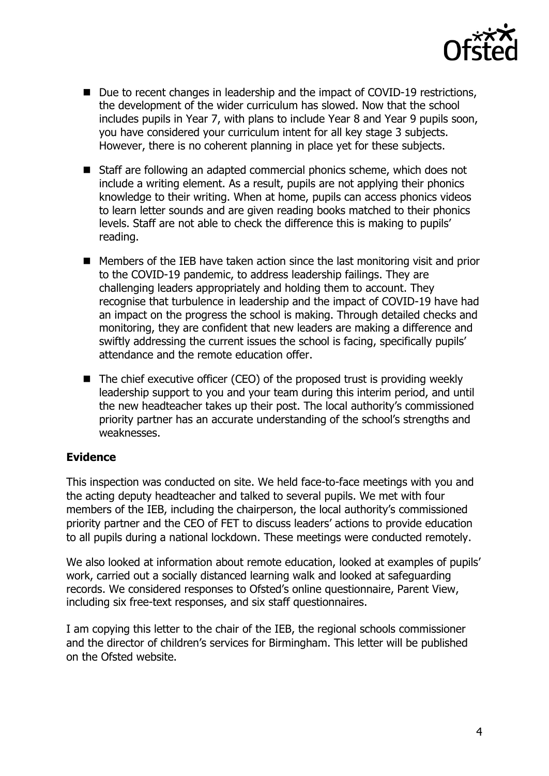

- Due to recent changes in leadership and the impact of COVID-19 restrictions, the development of the wider curriculum has slowed. Now that the school includes pupils in Year 7, with plans to include Year 8 and Year 9 pupils soon, you have considered your curriculum intent for all key stage 3 subjects. However, there is no coherent planning in place yet for these subjects.
- Staff are following an adapted commercial phonics scheme, which does not include a writing element. As a result, pupils are not applying their phonics knowledge to their writing. When at home, pupils can access phonics videos to learn letter sounds and are given reading books matched to their phonics levels. Staff are not able to check the difference this is making to pupils' reading.
- Members of the IEB have taken action since the last monitoring visit and prior to the COVID-19 pandemic, to address leadership failings. They are challenging leaders appropriately and holding them to account. They recognise that turbulence in leadership and the impact of COVID-19 have had an impact on the progress the school is making. Through detailed checks and monitoring, they are confident that new leaders are making a difference and swiftly addressing the current issues the school is facing, specifically pupils' attendance and the remote education offer.
- $\blacksquare$  The chief executive officer (CEO) of the proposed trust is providing weekly leadership support to you and your team during this interim period, and until the new headteacher takes up their post. The local authority's commissioned priority partner has an accurate understanding of the school's strengths and weaknesses.

# **Evidence**

This inspection was conducted on site. We held face-to-face meetings with you and the acting deputy headteacher and talked to several pupils. We met with four members of the IEB, including the chairperson, the local authority's commissioned priority partner and the CEO of FET to discuss leaders' actions to provide education to all pupils during a national lockdown. These meetings were conducted remotely.

We also looked at information about remote education, looked at examples of pupils' work, carried out a socially distanced learning walk and looked at safeguarding records. We considered responses to Ofsted's online questionnaire, Parent View, including six free-text responses, and six staff questionnaires.

I am copying this letter to the chair of the IEB, the regional schools commissioner and the director of children's services for Birmingham. This letter will be published on the Ofsted website.